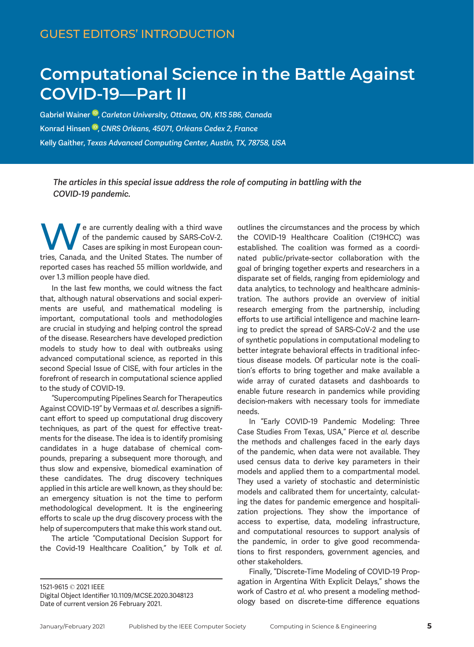## COVI[D-](https://orcid.org/0000-0003-3366-9184)19—Part II<br>
Gabriel Wainer ® Carleton University Ottawa ON K1S 5R6 Canada

Gabriel Wainer<sup>®</sup>, Carleton University, Ottawa, ON, K1S 5B6, Canada Konrad Hinsen <sup>in</sup>[,](https://orcid.org/0000-0003-0330-9428) CNRS Orléans, 45071, Orléans Cedex 2, France Kelly Gaither, Texas Advanced Computing Center, Austin, TX, 78758, USA

The articles in this special issue address the role of computing in battling with the COVID-19 pandemic.

e are currently dealing with a third wave of the pandemic caused by SARS-CoV-2. Cases are spiking in most European countries, Canada, and the United States. The number of reported cases has reached 55 million worldwide, and over 1.3 million people have died.

In the last few months, we could witness the fact that, although natural observations and social experiments are useful, and mathematical modeling is important, computational tools and methodologies are crucial in studying and helping control the spread of the disease. Researchers have developed prediction models to study how to deal with outbreaks using advanced computational science, as reported in this second Special Issue of CISE, with four articles in the forefront of research in computational science applied to the study of COVID-19.

"Supercomputing Pipelines Search for Therapeutics Against COVID-19" by Vermaas et al. describes a significant effort to speed up computational drug discovery techniques, as part of the quest for effective treatments for the disease. The idea is to identify promising candidates in a huge database of chemical compounds, preparing a subsequent more thorough, and thus slow and expensive, biomedical examination of these candidates. The drug discovery techniques applied in this article are well known, as they should be: an emergency situation is not the time to perform methodological development. It is the engineering efforts to scale up the drug discovery process with the help of supercomputers that make this work stand out.

The article "Computational Decision Support for the Covid-19 Healthcare Coalition," by Tolk et al.

outlines the circumstances and the process by which the COVID-19 Healthcare Coalition (C19HCC) was established. The coalition was formed as a coordinated public/private-sector collaboration with the goal of bringing together experts and researchers in a disparate set of fields, ranging from epidemiology and data analytics, to technology and healthcare administration. The authors provide an overview of initial research emerging from the partnership, including efforts to use artificial intelligence and machine learning to predict the spread of SARS-CoV-2 and the use of synthetic populations in computational modeling to better integrate behavioral effects in traditional infectious disease models. Of particular note is the coalition's efforts to bring together and make available a wide array of curated datasets and dashboards to enable future research in pandemics while providing decision-makers with necessary tools for immediate needs.

In "Early COVID-19 Pandemic Modeling: Three Case Studies From Texas, USA," Pierce et al. describe the methods and challenges faced in the early days of the pandemic, when data were not available. They used census data to derive key parameters in their models and applied them to a compartmental model. They used a variety of stochastic and deterministic models and calibrated them for uncertainty, calculating the dates for pandemic emergence and hospitalization projections. They show the importance of access to expertise, data, modeling infrastructure, and computational resources to support analysis of the pandemic, in order to give good recommendations to first responders, government agencies, and other stakeholders.

Finally, "Discrete-Time Modeling of COVID-19 Propagation in Argentina With Explicit Delays," shows the work of Castro et al. who present a modeling methodology based on discrete-time difference equations

<sup>1521-9615</sup> 2021 IEEE

Digital Object Identifier 10.1109/MCSE.2020.3048123 Date of current version 26 February 2021.